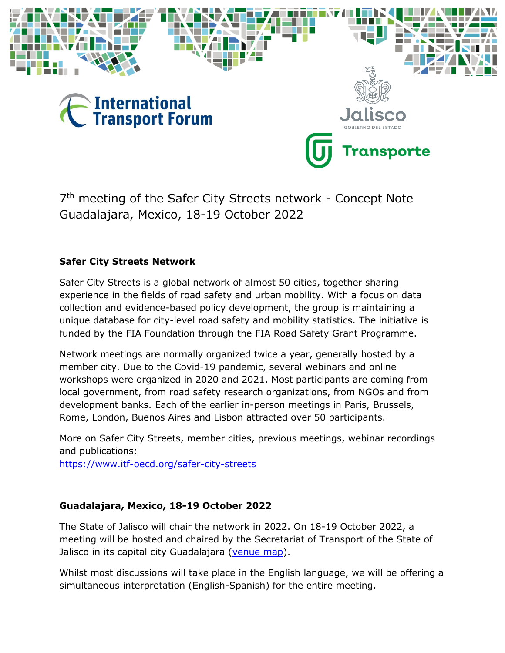

7<sup>th</sup> meeting of the Safer City Streets network - Concept Note Guadalajara, Mexico, 18-19 October 2022

### **Safer City Streets Network**

Safer City Streets is a global network of almost 50 cities, together sharing experience in the fields of road safety and urban mobility. With a focus on data collection and evidence-based policy development, the group is maintaining a unique database for city-level road safety and mobility statistics. The initiative is funded by the FIA Foundation through the FIA Road Safety Grant Programme.

Network meetings are normally organized twice a year, generally hosted by a member city. Due to the Covid-19 pandemic, several webinars and online workshops were organized in 2020 and 2021. Most participants are coming from local government, from road safety research organizations, from NGOs and from development banks. Each of the earlier in-person meetings in Paris, Brussels, Rome, London, Buenos Aires and Lisbon attracted over 50 participants.

More on Safer City Streets, member cities, previous meetings, webinar recordings and publications: <https://www.itf-oecd.org/safer-city-streets>

### **Guadalajara, Mexico, 18-19 October 2022**

The State of Jalisco will chair the network in 2022. On 18-19 October 2022, a meeting will be hosted and chaired by the Secretariat of Transport of the State of Jalisco in its capital city Guadalajara [\(venue map\)](https://goo.gl/maps/vwWTVSFZsjzEYRUFA).

Whilst most discussions will take place in the English language, we will be offering a simultaneous interpretation (English-Spanish) for the entire meeting.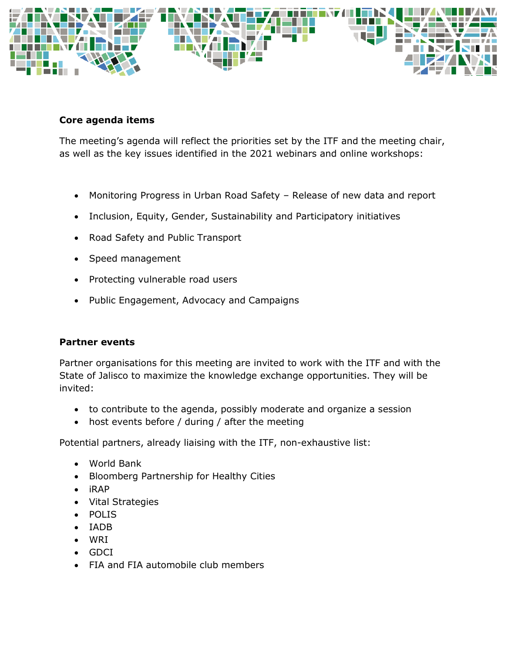

### **Core agenda items**

The meeting's agenda will reflect the priorities set by the ITF and the meeting chair, as well as the key issues identified in the 2021 webinars and online workshops:

- Monitoring Progress in Urban Road Safety Release of new data and report
- Inclusion, Equity, Gender, Sustainability and Participatory initiatives
- Road Safety and Public Transport
- Speed management
- Protecting vulnerable road users
- Public Engagement, Advocacy and Campaigns

### **Partner events**

Partner organisations for this meeting are invited to work with the ITF and with the State of Jalisco to maximize the knowledge exchange opportunities. They will be invited:

- to contribute to the agenda, possibly moderate and organize a session
- host events before / during / after the meeting

Potential partners, already liaising with the ITF, non-exhaustive list:

- World Bank
- Bloomberg Partnership for Healthy Cities
- iRAP
- Vital Strategies
- POLIS
- IADB
- WRI
- GDCI
- FIA and FIA automobile club members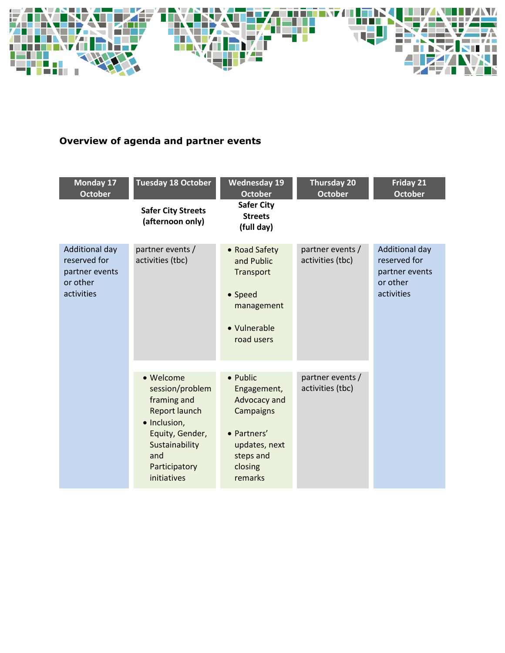

## **Overview of agenda and partner events**

| <b>Monday 17</b><br><b>October</b>                                         | <b>Tuesday 18 October</b>                                                                                                                                | <b>Wednesday 19</b><br><b>October</b>                                                                                   | <b>Thursday 20</b><br><b>October</b> | Friday 21<br><b>October</b>                                                |
|----------------------------------------------------------------------------|----------------------------------------------------------------------------------------------------------------------------------------------------------|-------------------------------------------------------------------------------------------------------------------------|--------------------------------------|----------------------------------------------------------------------------|
|                                                                            | <b>Safer City Streets</b><br>(afternoon only)                                                                                                            | <b>Safer City</b><br><b>Streets</b><br>(full day)                                                                       |                                      |                                                                            |
| Additional day<br>reserved for<br>partner events<br>or other<br>activities | partner events /<br>activities (tbc)                                                                                                                     | • Road Safety<br>and Public<br>Transport<br>• Speed<br>management<br>• Vulnerable<br>road users                         | partner events /<br>activities (tbc) | Additional day<br>reserved for<br>partner events<br>or other<br>activities |
|                                                                            | • Welcome<br>session/problem<br>framing and<br>Report launch<br>· Inclusion,<br>Equity, Gender,<br>Sustainability<br>and<br>Participatory<br>initiatives | • Public<br>Engagement,<br>Advocacy and<br>Campaigns<br>• Partners'<br>updates, next<br>steps and<br>closing<br>remarks | partner events /<br>activities (tbc) |                                                                            |